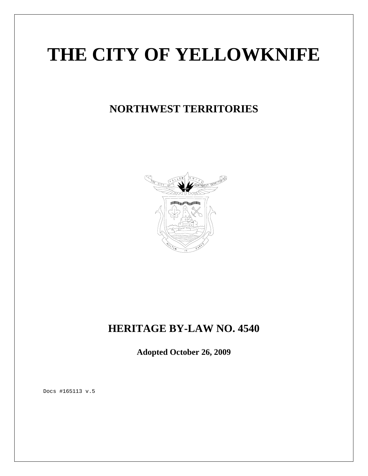# **THE CITY OF YELLOWKNIFE**

## **NORTHWEST TERRITORIES**



## **HERITAGE BY-LAW NO. 4540**

**Adopted October 26, 2009**

Docs #165113 v.5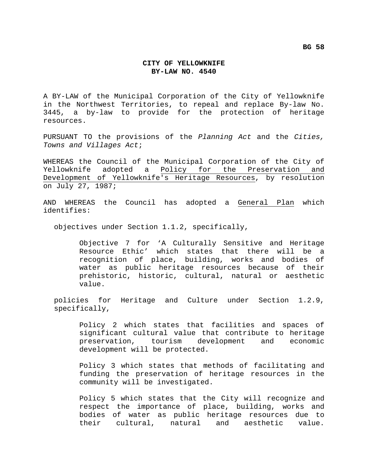#### **CITY OF YELLOWKNIFE BY-LAW NO. 4540**

A BY-LAW of the Municipal Corporation of the City of Yellowknife in the Northwest Territories, to repeal and replace By-law No. 3445, a by-law to provide for the protection of heritage resources.

PURSUANT TO the provisions of the *Planning Act* and the *Cities, Towns and Villages Act*;

WHEREAS the Council of the Municipal Corporation of the City of Yellowknife adopted a Policy for the Preservation and Development of Yellowknife's Heritage Resources, by resolution on July 27, 1987;

AND WHEREAS the Council has adopted a General Plan which identifies:

objectives under Section 1.1.2, specifically,

Objective 7 for 'A Culturally Sensitive and Heritage Resource Ethic' which states that there will be a recognition of place, building, works and bodies of water as public heritage resources because of their prehistoric, historic, cultural, natural or aesthetic value.

policies for Heritage and Culture under Section 1.2.9, specifically,

Policy 2 which states that facilities and spaces of significant cultural value that contribute to heritage preservation, tourism development and economic development will be protected.

Policy 3 which states that methods of facilitating and funding the preservation of heritage resources in the community will be investigated.

Policy 5 which states that the City will recognize and respect the importance of place, building, works and bodies of water as public heritage resources due to their cultural, natural and aesthetic value.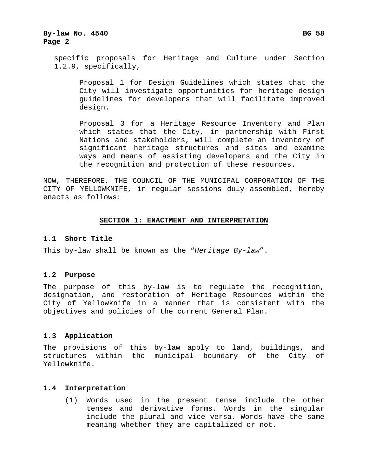#### **By-law No. 4540 Bg 58 Bg 58 Page 2**

specific proposals for Heritage and Culture under Section 1.2.9, specifically,

Proposal 1 for Design Guidelines which states that the City will investigate opportunities for heritage design guidelines for developers that will facilitate improved design.

Proposal 3 for a Heritage Resource Inventory and Plan which states that the City, in partnership with First Nations and stakeholders, will complete an inventory of significant heritage structures and sites and examine ways and means of assisting developers and the City in the recognition and protection of these resources.

NOW, THEREFORE, THE COUNCIL OF THE MUNICIPAL CORPORATION OF THE CITY OF YELLOWKNIFE, in regular sessions duly assembled, hereby enacts as follows:

#### **SECTION 1: ENACTMENT AND INTERPRETATION**

#### **1.1 Short Title**

This by-law shall be known as the "*Heritage By-law*".

#### **1.2 Purpose**

The purpose of this by-law is to regulate the recognition, designation, and restoration of Heritage Resources within the City of Yellowknife in a manner that is consistent with the objectives and policies of the current General Plan.

#### **1.3 Application**

The provisions of this by-law apply to land, buildings, and structures within the municipal boundary of the City of Yellowknife.

#### **1.4 Interpretation**

(1) Words used in the present tense include the other tenses and derivative forms. Words in the singular include the plural and vice versa. Words have the same meaning whether they are capitalized or not.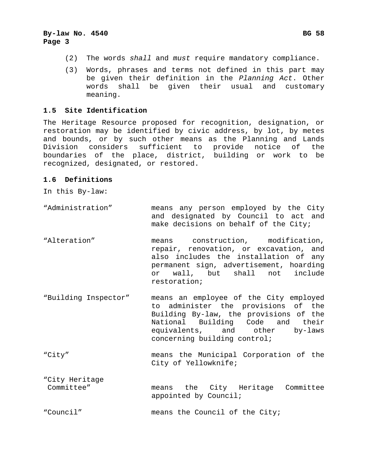- (2) The words *shall* and *must* require mandatory compliance.
- (3) Words, phrases and terms not defined in this part may be given their definition in the *Planning Act*. Other words shall be given their usual and customary meaning.

#### **1.5 Site Identification**

The Heritage Resource proposed for recognition, designation, or restoration may be identified by civic address, by lot, by metes and bounds, or by such other means as the Planning and Lands Division considers sufficient to provide notice of the boundaries of the place, district, building or work to be recognized, designated, or restored.

#### **1.6 Definitions**

In this By-law:

- "Administration" means any person employed by the City and designated by Council to act and make decisions on behalf of the City;
- "Alteration" means construction, modification, repair, renovation, or excavation, and also includes the installation of any permanent sign, advertisement, hoarding or wall, but shall not include restoration;
- "Building Inspector" means an employee of the City employed to administer the provisions of the Building By-law, the provisions of the National Building Code and their equivalents, and other by-laws concerning building control;
- "City" means the Municipal Corporation of the City of Yellowknife;
- "City Heritage Committee" means the City Heritage Committee appointed by Council;

"Council" means the Council of the City;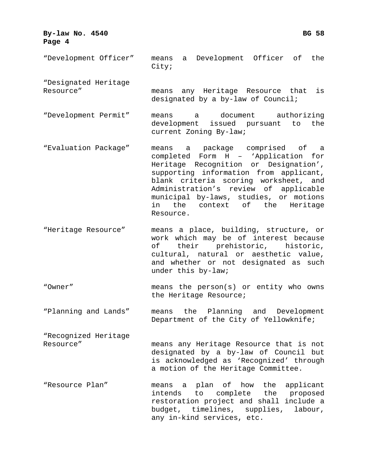#### **By-law No. 4540 Bg 58 Bg 58 Page 4**

- "Development Officer" means a Development Officer of the City; "Designated Heritage Resource" means any Heritage Resource that is designated by a by-law of Council; "Development Permit" means a document authorizing development issued pursuant to the current Zoning By-law; "Evaluation Package" means a package comprised of a completed Form H – 'Application for
- Heritage Recognition or Designation', supporting information from applicant, blank criteria scoring worksheet, and Administration's review of applicable municipal by-laws, studies, or motions in the context of the Heritage Resource.
- "Heritage Resource" means a place, building, structure, or work which may be of interest because of their prehistoric, historic, cultural, natural or aesthetic value, and whether or not designated as such under this by-law;
- "Owner" means the person(s) or entity who owns the Heritage Resource;
- "Planning and Lands" means the Planning and Development Department of the City of Yellowknife;
- "Recognized Heritage Resource" means any Heritage Resource that is not designated by a by-law of Council but is acknowledged as 'Recognized' through a motion of the Heritage Committee.
- "Resource Plan" means a plan of how the applicant intends to complete the proposed restoration project and shall include a budget, timelines, supplies, labour, any in-kind services, etc.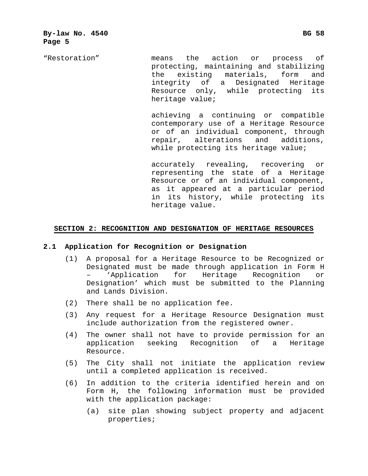"Restoration" means the action or process of protecting, maintaining and stabilizing the existing materials, form and integrity of a Designated Heritage Resource only, while protecting its heritage value;

> achieving a continuing or compatible contemporary use of a Heritage Resource or of an individual component, through repair, alterations and additions, while protecting its heritage value;

> accurately revealing, recovering or representing the state of a Heritage Resource or of an individual component, as it appeared at a particular period in its history, while protecting its heritage value.

#### **SECTION 2: RECOGNITION AND DESIGNATION OF HERITAGE RESOURCES**

#### **2.1 Application for Recognition or Designation**

- (1) A proposal for a Heritage Resource to be Recognized or Designated must be made through application in Form H – 'Application for Heritage Recognition or Designation' which must be submitted to the Planning and Lands Division.
- (2) There shall be no application fee.
- (3) Any request for a Heritage Resource Designation must include authorization from the registered owner.
- (4) The owner shall not have to provide permission for an application seeking Recognition of a Heritage Resource.
- (5) The City shall not initiate the application review until a completed application is received.
- (6) In addition to the criteria identified herein and on Form H, the following information must be provided with the application package:
	- (a) site plan showing subject property and adjacent properties;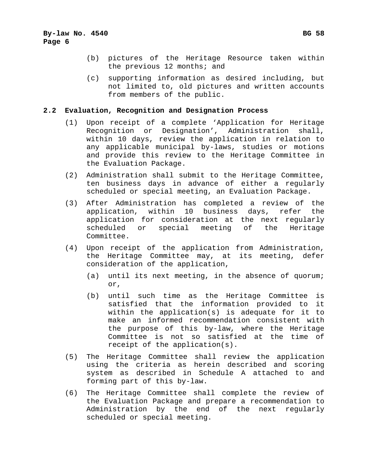- (b) pictures of the Heritage Resource taken within the previous 12 months; and
- (c) supporting information as desired including, but not limited to, old pictures and written accounts from members of the public.

#### **2.2 Evaluation, Recognition and Designation Process**

- (1) Upon receipt of a complete 'Application for Heritage Recognition or Designation', Administration shall, within 10 days, review the application in relation to any applicable municipal by-laws, studies or motions and provide this review to the Heritage Committee in the Evaluation Package.
- (2) Administration shall submit to the Heritage Committee, ten business days in advance of either a regularly scheduled or special meeting, an Evaluation Package.
- (3) After Administration has completed a review of the application, within 10 business days, refer the application for consideration at the next regularly scheduled or special meeting of the Heritage Committee.
- (4) Upon receipt of the application from Administration, the Heritage Committee may, at its meeting, defer consideration of the application,
	- (a) until its next meeting, in the absence of quorum; or,
	- (b) until such time as the Heritage Committee is satisfied that the information provided to it within the application(s) is adequate for it to make an informed recommendation consistent with the purpose of this by-law, where the Heritage Committee is not so satisfied at the time of receipt of the application(s).
- (5) The Heritage Committee shall review the application using the criteria as herein described and scoring system as described in Schedule A attached to and forming part of this by-law.
- (6) The Heritage Committee shall complete the review of the Evaluation Package and prepare a recommendation to Administration by the end of the next regularly scheduled or special meeting.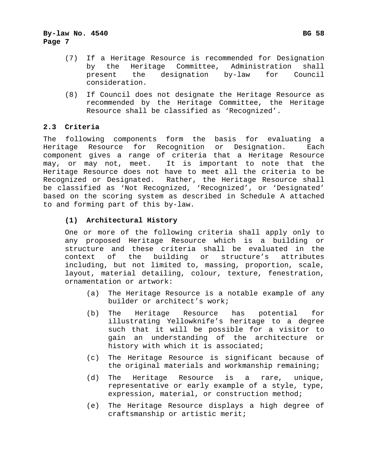- (7) If a Heritage Resource is recommended for Designation by the Heritage Committee, Administration shall present the designation by-law for Council consideration.
- (8) If Council does not designate the Heritage Resource as recommended by the Heritage Committee, the Heritage Resource shall be classified as 'Recognized'.

#### **2.3 Criteria**

The following components form the basis for evaluating a Heritage Resource for Recognition or Designation. Each component gives a range of criteria that a Heritage Resource may, or may not, meet. It is important to note that the Heritage Resource does not have to meet all the criteria to be Recognized or Designated. Rather, the Heritage Resource shall be classified as 'Not Recognized, 'Recognized', or 'Designated' based on the scoring system as described in Schedule A attached to and forming part of this by-law.

#### **(1) Architectural History**

One or more of the following criteria shall apply only to any proposed Heritage Resource which is a building or structure and these criteria shall be evaluated in the context of the building or structure's attributes including, but not limited to, massing, proportion, scale, layout, material detailing, colour, texture, fenestration, ornamentation or artwork:

- (a) The Heritage Resource is a notable example of any builder or architect's work;
- (b) The Heritage Resource has potential for illustrating Yellowknife's heritage to a degree such that it will be possible for a visitor to gain an understanding of the architecture or history with which it is associated;
- (c) The Heritage Resource is significant because of the original materials and workmanship remaining;
- (d) The Heritage Resource is a rare, unique, representative or early example of a style, type, expression, material, or construction method;
- (e) The Heritage Resource displays a high degree of craftsmanship or artistic merit;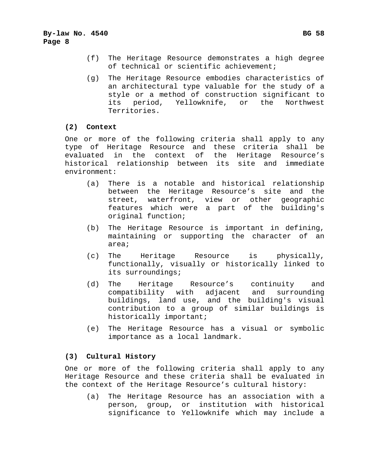- (f) The Heritage Resource demonstrates a high degree of technical or scientific achievement;
- (g) The Heritage Resource embodies characteristics of an architectural type valuable for the study of a style or a method of construction significant to its period, Yellowknife, or the Northwest Territories.

#### **(2) Context**

One or more of the following criteria shall apply to any type of Heritage Resource and these criteria shall be evaluated in the context of the Heritage Resource's historical relationship between its site and immediate environment:

- (a) There is a notable and historical relationship between the Heritage Resource's site and the street, waterfront, view or other geographic features which were a part of the building's original function;
- (b) The Heritage Resource is important in defining, maintaining or supporting the character of an area;
- (c) The Heritage Resource is physically, functionally, visually or historically linked to its surroundings;
- (d) The Heritage Resource's continuity and compatibility with adjacent and surrounding buildings, land use, and the building's visual contribution to a group of similar buildings is historically important;
- (e) The Heritage Resource has a visual or symbolic importance as a local landmark.

#### **(3) Cultural History**

One or more of the following criteria shall apply to any Heritage Resource and these criteria shall be evaluated in the context of the Heritage Resource's cultural history:

(a) The Heritage Resource has an association with a person, group, or institution with historical significance to Yellowknife which may include a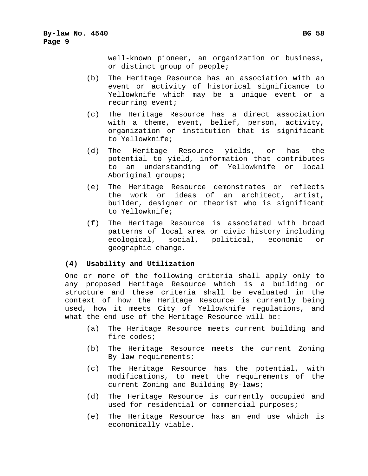well-known pioneer, an organization or business, or distinct group of people;

- (b) The Heritage Resource has an association with an event or activity of historical significance to Yellowknife which may be a unique event or a recurring event;
- (c) The Heritage Resource has a direct association with a theme, event, belief, person, activity, organization or institution that is significant to Yellowknife;
- (d) The Heritage Resource yields, or has the potential to yield, information that contributes to an understanding of Yellowknife or local Aboriginal groups;
- (e) The Heritage Resource demonstrates or reflects the work or ideas of an architect, artist, builder, designer or theorist who is significant to Yellowknife;
- (f) The Heritage Resource is associated with broad patterns of local area or civic history including ecological, social, political, economic or geographic change.

#### **(4) Usability and Utilization**

One or more of the following criteria shall apply only to any proposed Heritage Resource which is a building or structure and these criteria shall be evaluated in the context of how the Heritage Resource is currently being used, how it meets City of Yellowknife regulations, and what the end use of the Heritage Resource will be:

- (a) The Heritage Resource meets current building and fire codes;
- (b) The Heritage Resource meets the current Zoning By-law requirements;
- (c) The Heritage Resource has the potential, with modifications, to meet the requirements of the current Zoning and Building By-laws;
- (d) The Heritage Resource is currently occupied and used for residential or commercial purposes;
- (e) The Heritage Resource has an end use which is economically viable.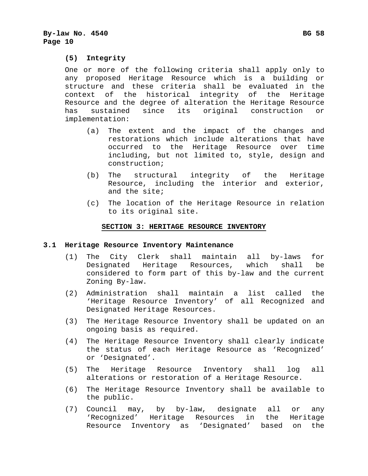#### **(5) Integrity**

One or more of the following criteria shall apply only to any proposed Heritage Resource which is a building or structure and these criteria shall be evaluated in the context of the historical integrity of the Heritage Resource and the degree of alteration the Heritage Resource has sustained since its original construction or implementation:

- (a) The extent and the impact of the changes and restorations which include alterations that have occurred to the Heritage Resource over time including, but not limited to, style, design and construction;
- (b) The structural integrity of the Heritage Resource, including the interior and exterior, and the site;
- (c) The location of the Heritage Resource in relation to its original site.

#### **SECTION 3: HERITAGE RESOURCE INVENTORY**

#### **3.1 Heritage Resource Inventory Maintenance**

- (1) The City Clerk shall maintain all by-laws for Designated Heritage Resources, which shall be considered to form part of this by-law and the current Zoning By-law.
- (2) Administration shall maintain a list called the 'Heritage Resource Inventory' of all Recognized and Designated Heritage Resources.
- (3) The Heritage Resource Inventory shall be updated on an ongoing basis as required.
- (4) The Heritage Resource Inventory shall clearly indicate the status of each Heritage Resource as 'Recognized' or 'Designated'.
- (5) The Heritage Resource Inventory shall log all alterations or restoration of a Heritage Resource.
- (6) The Heritage Resource Inventory shall be available to the public.
- (7) Council may, by by-law, designate all or any 'Recognized' Heritage Resources in the Heritage Resource Inventory as 'Designated' based on the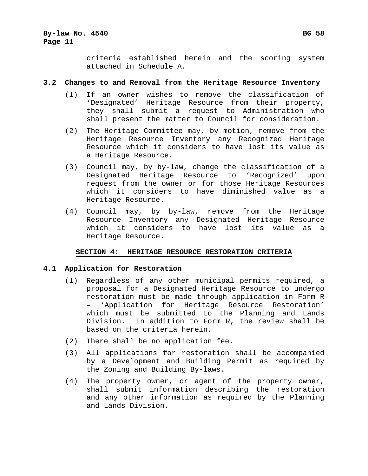criteria established herein and the scoring system attached in Schedule A.

#### **3.2 Changes to and Removal from the Heritage Resource Inventory**

- (1) If an owner wishes to remove the classification of 'Designated' Heritage Resource from their property, they shall submit a request to Administration who shall present the matter to Council for consideration.
- (2) The Heritage Committee may, by motion, remove from the Heritage Resource Inventory any Recognized Heritage Resource which it considers to have lost its value as a Heritage Resource.
- (3) Council may, by by-law, change the classification of a Designated Heritage Resource to 'Recognized' upon request from the owner or for those Heritage Resources which it considers to have diminished value as a Heritage Resource.
- (4) Council may, by by-law, remove from the Heritage Resource Inventory any Designated Heritage Resource which it considers to have lost its value as a Heritage Resource.

#### **SECTION 4: HERITAGE RESOURCE RESTORATION CRITERIA**

#### **4.1 Application for Restoration**

- (1) Regardless of any other municipal permits required, a proposal for a Designated Heritage Resource to undergo restoration must be made through application in Form R – 'Application for Heritage Resource Restoration' which must be submitted to the Planning and Lands Division. In addition to Form R, the review shall be based on the criteria herein.
- (2) There shall be no application fee.
- (3) All applications for restoration shall be accompanied by a Development and Building Permit as required by the Zoning and Building By-laws.
- (4) The property owner, or agent of the property owner, shall submit information describing the restoration and any other information as required by the Planning and Lands Division.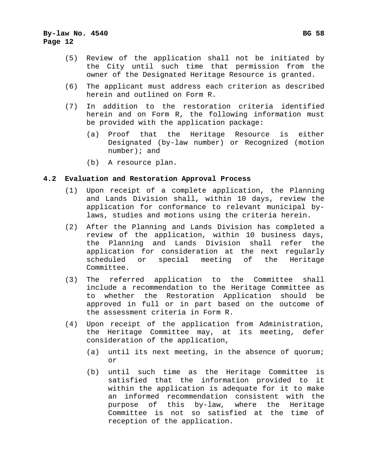#### **By-law No. 4540 Bg 58 Bg 58 Page 12**

- (5) Review of the application shall not be initiated by the City until such time that permission from the owner of the Designated Heritage Resource is granted.
- (6) The applicant must address each criterion as described herein and outlined on Form R.
- (7) In addition to the restoration criteria identified herein and on Form R, the following information must be provided with the application package:
	- (a) Proof that the Heritage Resource is either Designated (by-law number) or Recognized (motion number); and
	- (b) A resource plan.

#### **4.2 Evaluation and Restoration Approval Process**

- (1) Upon receipt of a complete application, the Planning and Lands Division shall, within 10 days, review the application for conformance to relevant municipal bylaws, studies and motions using the criteria herein.
- (2) After the Planning and Lands Division has completed a review of the application, within 10 business days, the Planning and Lands Division shall refer the application for consideration at the next regularly scheduled or special meeting of the Heritage Committee.
- (3) The referred application to the Committee shall include a recommendation to the Heritage Committee as to whether the Restoration Application should be approved in full or in part based on the outcome of the assessment criteria in Form R.
- (4) Upon receipt of the application from Administration, the Heritage Committee may, at its meeting, defer consideration of the application,
	- (a) until its next meeting, in the absence of quorum; or
	- (b) until such time as the Heritage Committee is satisfied that the information provided to it within the application is adequate for it to make an informed recommendation consistent with the purpose of this by-law, where the Heritage Committee is not so satisfied at the time of reception of the application.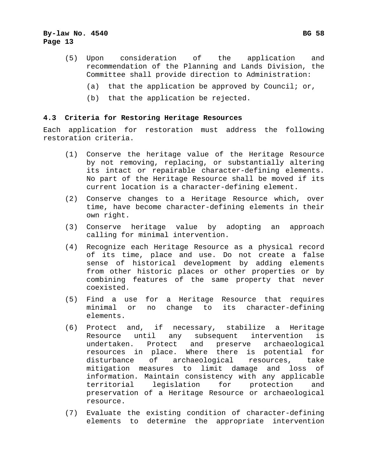#### **By-law No. 4540 Bg 58 Bg 58 Page 13**

- (5) Upon consideration of the application and recommendation of the Planning and Lands Division, the Committee shall provide direction to Administration:
	- (a) that the application be approved by Council; or,
	- (b) that the application be rejected.

#### **4.3 Criteria for Restoring Heritage Resources**

Each application for restoration must address the following restoration criteria.

- (1) Conserve the heritage value of the Heritage Resource by not removing, replacing, or substantially altering its intact or repairable character-defining elements. No part of the Heritage Resource shall be moved if its current location is a character-defining element.
- (2) Conserve changes to a Heritage Resource which, over time, have become character-defining elements in their own right.
- (3) Conserve heritage value by adopting an approach calling for minimal intervention.
- (4) Recognize each Heritage Resource as a physical record of its time, place and use. Do not create a false sense of historical development by adding elements from other historic places or other properties or by combining features of the same property that never coexisted.
- (5) Find a use for a Heritage Resource that requires minimal or no change to its character-defining elements.
- (6) Protect and, if necessary, stabilize a Heritage Resource until any subsequent intervention is undertaken. Protect and preserve archaeological resources in place. Where there is potential for disturbance of archaeological resources, take mitigation measures to limit damage and loss of information. Maintain consistency with any applicable territorial legislation for protection and preservation of a Heritage Resource or archaeological resource.
- (7) Evaluate the existing condition of character-defining elements to determine the appropriate intervention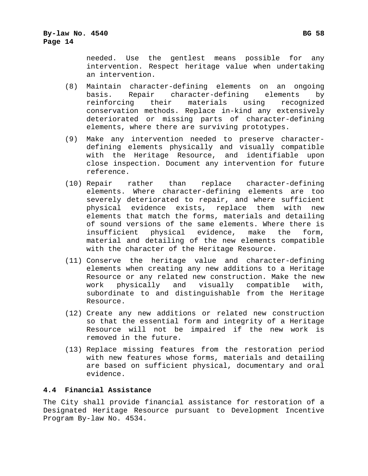needed. Use the gentlest means possible for any intervention. Respect heritage value when undertaking an intervention.

- (8) Maintain character-defining elements on an ongoing basis. Repair character-defining elements by reinforcing their materials using recognized conservation methods. Replace in-kind any extensively deteriorated or missing parts of character-defining elements, where there are surviving prototypes.
- (9) Make any intervention needed to preserve characterdefining elements physically and visually compatible with the Heritage Resource, and identifiable upon close inspection. Document any intervention for future reference.
- (10) Repair rather than replace character-defining elements. Where character-defining elements are too severely deteriorated to repair, and where sufficient physical evidence exists, replace them with new elements that match the forms, materials and detailing of sound versions of the same elements. Where there is insufficient physical evidence, make the form, material and detailing of the new elements compatible with the character of the Heritage Resource.
- (11) Conserve the heritage value and character-defining elements when creating any new additions to a Heritage Resource or any related new construction. Make the new work physically and visually compatible with, subordinate to and distinguishable from the Heritage Resource.
- (12) Create any new additions or related new construction so that the essential form and integrity of a Heritage Resource will not be impaired if the new work is removed in the future.
- (13) Replace missing features from the restoration period with new features whose forms, materials and detailing are based on sufficient physical, documentary and oral evidence.

#### **4.4 Financial Assistance**

The City shall provide financial assistance for restoration of a Designated Heritage Resource pursuant to Development Incentive Program By-law No. 4534.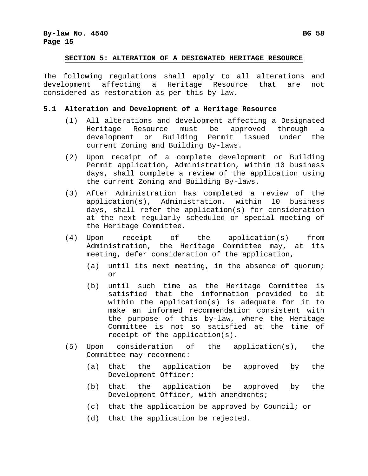#### **SECTION 5: ALTERATION OF A DESIGNATED HERITAGE RESOURCE**

The following regulations shall apply to all alterations and development affecting a Heritage Resource that are not considered as restoration as per this by-law.

#### **5.1 Alteration and Development of a Heritage Resource**

- (1) All alterations and development affecting a Designated Heritage Resource must be approved through a development or Building Permit issued under the current Zoning and Building By-laws.
- (2) Upon receipt of a complete development or Building Permit application, Administration, within 10 business days, shall complete a review of the application using the current Zoning and Building By-laws.
- (3) After Administration has completed a review of the application(s), Administration, within 10 business days, shall refer the application(s) for consideration at the next regularly scheduled or special meeting of the Heritage Committee.
- (4) Upon receipt of the application(s) from Administration, the Heritage Committee may, at its meeting, defer consideration of the application,
	- (a) until its next meeting, in the absence of quorum; or
	- (b) until such time as the Heritage Committee is satisfied that the information provided to it within the application(s) is adequate for it to make an informed recommendation consistent with the purpose of this by-law, where the Heritage Committee is not so satisfied at the time of receipt of the application(s).
- (5) Upon consideration of the application(s), the Committee may recommend:
	- (a) that the application be approved by the Development Officer;
	- (b) that the application be approved by the Development Officer, with amendments;
	- (c) that the application be approved by Council; or
	- (d) that the application be rejected.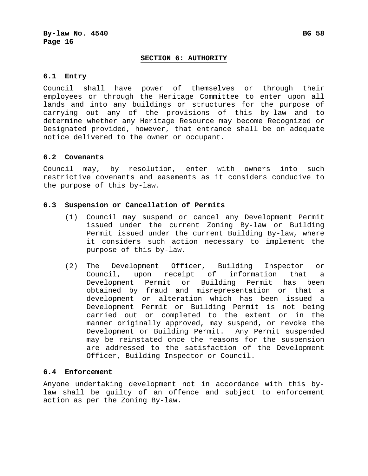#### **SECTION 6: AUTHORITY**

#### **6.1 Entry**

Council shall have power of themselves or through their employees or through the Heritage Committee to enter upon all lands and into any buildings or structures for the purpose of carrying out any of the provisions of this by-law and to determine whether any Heritage Resource may become Recognized or Designated provided, however, that entrance shall be on adequate notice delivered to the owner or occupant.

#### **6.2 Covenants**

Council may, by resolution, enter with owners into such restrictive covenants and easements as it considers conducive to the purpose of this by-law.

#### **6.3 Suspension or Cancellation of Permits**

- (1) Council may suspend or cancel any Development Permit issued under the current Zoning By-law or Building Permit issued under the current Building By-law, where it considers such action necessary to implement the purpose of this by-law.
- (2) The Development Officer, Building Inspector or Council, upon receipt of information that a Development Permit or Building Permit has been obtained by fraud and misrepresentation or that a development or alteration which has been issued a Development Permit or Building Permit is not being carried out or completed to the extent or in the manner originally approved, may suspend, or revoke the Development or Building Permit. Any Permit suspended may be reinstated once the reasons for the suspension are addressed to the satisfaction of the Development Officer, Building Inspector or Council.

#### **6.4 Enforcement**

Anyone undertaking development not in accordance with this bylaw shall be guilty of an offence and subject to enforcement action as per the Zoning By-law.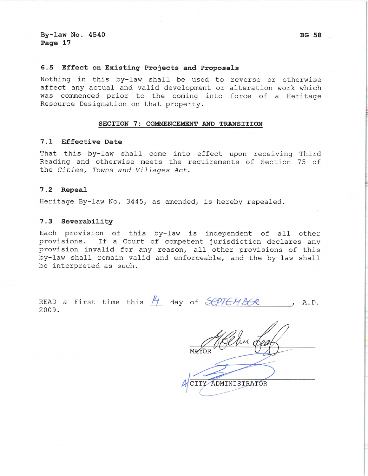#### $6.5$ Effect on Existing Projects and Proposals

Nothing in this by-law shall be used to reverse or otherwise affect any actual and valid development or alteration work which was commenced prior to the coming into force of a Heritage Resource Designation on that property.

#### SECTION 7: COMMENCEMENT AND TRANSITION

#### 7.1 Effective Date

That this by-law shall come into effect upon receiving Third Reading and otherwise meets the requirements of Section 75 of the Cities, Towns and Villages Act.

#### $7.2$ Repeal

Heritage By-law No. 3445, as amended, is hereby repealed.

#### 7.3 Severability

Each provision of this by-law is independent of all other provisions. If a Court of competent jurisdiction declares any provision invalid for any reason, all other provisions of this by-law shall remain valid and enforceable, and the by-law shall be interpreted as such.

|       |  |  |  | READ a First time this $H$ day of SCPTEMBER |  |
|-------|--|--|--|---------------------------------------------|--|
| 2009. |  |  |  |                                             |  |

ADMINISTRATOR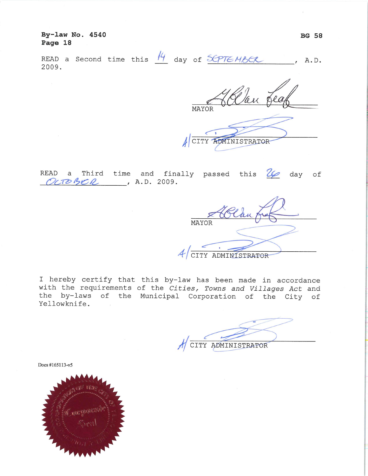By-law No. 4540 Page 18

| 2009. |  |  |  |  |  |  |  | READ a Second time this $\frac{14}{4}$ day of $S$ CPTEMBCR, A.D. |  |
|-------|--|--|--|--|--|--|--|------------------------------------------------------------------|--|
|-------|--|--|--|--|--|--|--|------------------------------------------------------------------|--|

Blan fea MAYOR CITY ADMINISTRATOR

|  |                       |  | READ a Third time and finally passed this $\mathcal{U}$ day of |  |  |  |
|--|-----------------------|--|----------------------------------------------------------------|--|--|--|
|  | $OCDBCA$ , A.D. 2009. |  |                                                                |  |  |  |

| MAYOR              |
|--------------------|
|                    |
| CITY ADMINISTRATOR |

I hereby certify that this by-law has been made in accordance with the requirements of the Cities, Towns and Villages Act and the by-laws of the Municipal Corporation of the City of Yellowknife.  $\sim$ 

CITY ADMINISTRATOR

Docs #165113-v5

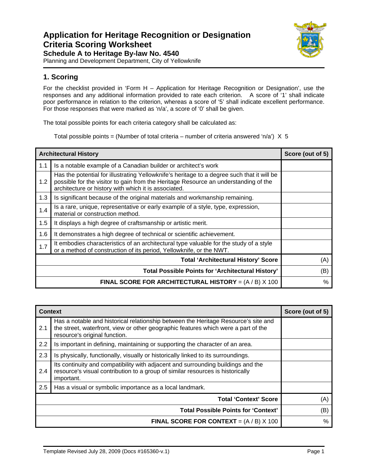#### **Application for Heritage Recognition or Designation Criteria Scoring Worksheet Schedule A to Heritage By-law No. 4540**



Planning and Development Department, City of Yellowknife

#### **1. Scoring**

For the checklist provided in 'Form H – Application for Heritage Recognition or Designation', use the responses and any additional information provided to rate each criterion. A score of '1' shall indicate poor performance in relation to the criterion, whereas a score of '5' shall indicate excellent performance. For those responses that were marked as 'n/a', a score of '0' shall be given.

The total possible points for each criteria category shall be calculated as:

Total possible points = (Number of total criteria – number of criteria answered 'n/a')  $X$  5

| <b>Architectural History</b> | Score (out of 5)                                                                                                                                                                                                                          |      |  |  |  |
|------------------------------|-------------------------------------------------------------------------------------------------------------------------------------------------------------------------------------------------------------------------------------------|------|--|--|--|
| 1.1                          | Is a notable example of a Canadian builder or architect's work                                                                                                                                                                            |      |  |  |  |
| 1.2                          | Has the potential for illustrating Yellowknife's heritage to a degree such that it will be<br>possible for the visitor to gain from the Heritage Resource an understanding of the<br>architecture or history with which it is associated. |      |  |  |  |
| 1.3                          | Is significant because of the original materials and workmanship remaining.                                                                                                                                                               |      |  |  |  |
| 1.4                          | Is a rare, unique, representative or early example of a style, type, expression,<br>material or construction method.                                                                                                                      |      |  |  |  |
| 1.5                          | It displays a high degree of craftsmanship or artistic merit.                                                                                                                                                                             |      |  |  |  |
| 1.6                          | It demonstrates a high degree of technical or scientific achievement.                                                                                                                                                                     |      |  |  |  |
| 1.7                          | It embodies characteristics of an architectural type valuable for the study of a style<br>or a method of construction of its period, Yellowknife, or the NWT.                                                                             |      |  |  |  |
|                              | <b>Total 'Architectural History' Score</b>                                                                                                                                                                                                |      |  |  |  |
|                              | <b>Total Possible Points for 'Architectural History'</b>                                                                                                                                                                                  |      |  |  |  |
|                              | <b>FINAL SCORE FOR ARCHITECTURAL HISTORY</b> = $(A / B)$ X 100                                                                                                                                                                            | $\%$ |  |  |  |

| <b>Context</b> |                                                                                                                                                                                                           | Score (out of 5) |  |  |  |
|----------------|-----------------------------------------------------------------------------------------------------------------------------------------------------------------------------------------------------------|------------------|--|--|--|
| 2.1            | Has a notable and historical relationship between the Heritage Resource's site and<br>the street, waterfront, view or other geographic features which were a part of the<br>resource's original function. |                  |  |  |  |
| 2.2            | Is important in defining, maintaining or supporting the character of an area.                                                                                                                             |                  |  |  |  |
| 2.3            | Is physically, functionally, visually or historically linked to its surroundings.                                                                                                                         |                  |  |  |  |
| 2.4            | Its continuity and compatibility with adjacent and surrounding buildings and the<br>resource's visual contribution to a group of similar resources is historically<br>important.                          |                  |  |  |  |
| 2.5            | Has a visual or symbolic importance as a local landmark.                                                                                                                                                  |                  |  |  |  |
|                | <b>Total 'Context' Score</b>                                                                                                                                                                              |                  |  |  |  |
|                | (B)                                                                                                                                                                                                       |                  |  |  |  |
|                | <b>FINAL SCORE FOR CONTEXT</b> = $(A / B)$ X 100                                                                                                                                                          | $\%$             |  |  |  |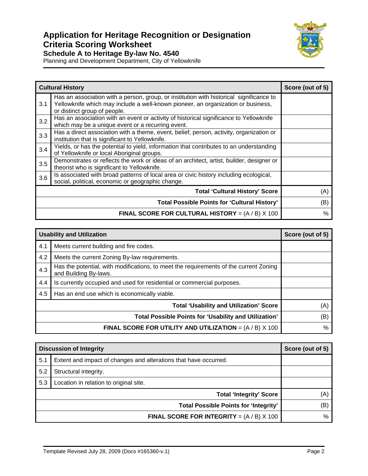## **Application for Heritage Recognition or Designation Criteria Scoring Worksheet Schedule A to Heritage By-law No. 4540**



Planning and Development Department, City of Yellowknife

|     | <b>Cultural History</b>                                                                                                                                                                                     | Score (out of 5) |  |  |  |
|-----|-------------------------------------------------------------------------------------------------------------------------------------------------------------------------------------------------------------|------------------|--|--|--|
| 3.1 | Has an association with a person, group, or institution with historical significance to<br>Yellowknife which may include a well-known pioneer, an organization or business,<br>or distinct group of people. |                  |  |  |  |
| 3.2 | Has an association with an event or activity of historical significance to Yellowknife<br>which may be a unique event or a recurring event.                                                                 |                  |  |  |  |
| 3.3 | Has a direct association with a theme, event, belief, person, activity, organization or<br>institution that is significant to Yellowknife.                                                                  |                  |  |  |  |
| 3.4 | Yields, or has the potential to yield, information that contributes to an understanding<br>of Yellowknife or local Aboriginal groups.                                                                       |                  |  |  |  |
| 3.5 | Demonstrates or reflects the work or ideas of an architect, artist, builder, designer or<br>theorist who is significant to Yellowknife.                                                                     |                  |  |  |  |
| 3.6 | Is associated with broad patterns of local area or civic history including ecological,<br>social, political, economic or geographic change.                                                                 |                  |  |  |  |
|     | <b>Total 'Cultural History' Score</b>                                                                                                                                                                       |                  |  |  |  |
|     | <b>Total Possible Points for 'Cultural History'</b>                                                                                                                                                         |                  |  |  |  |
|     | <b>FINAL SCORE FOR CULTURAL HISTORY</b> = $(A / B)$ X 100                                                                                                                                                   | $\%$             |  |  |  |

| <b>Usability and Utilization</b> | Score (out of 5)                                                                                               |      |  |  |  |
|----------------------------------|----------------------------------------------------------------------------------------------------------------|------|--|--|--|
| 4.1                              | Meets current building and fire codes.                                                                         |      |  |  |  |
| 4.2                              | Meets the current Zoning By-law requirements.                                                                  |      |  |  |  |
| 4.3                              | Has the potential, with modifications, to meet the requirements of the current Zoning<br>and Building By-laws. |      |  |  |  |
| 4.4                              |                                                                                                                |      |  |  |  |
| 4.5                              | Has an end use which is economically viable.                                                                   |      |  |  |  |
|                                  | <b>Total 'Usability and Utilization' Score</b>                                                                 |      |  |  |  |
|                                  | (B)                                                                                                            |      |  |  |  |
|                                  | <b>FINAL SCORE FOR UTILITY AND UTILIZATION</b> = $(A / B)$ X 100                                               | $\%$ |  |  |  |

| <b>Discussion of Integrity</b> | Score (out of 5)                                                 |      |  |
|--------------------------------|------------------------------------------------------------------|------|--|
| 5.1                            | Extent and impact of changes and alterations that have occurred. |      |  |
| 5.2                            | Structural integrity.                                            |      |  |
| 5.3                            | Location in relation to original site.                           |      |  |
|                                | (A)                                                              |      |  |
|                                | (B)                                                              |      |  |
|                                | <b>FINAL SCORE FOR INTEGRITY</b> = $(A / B)$ X 100               | $\%$ |  |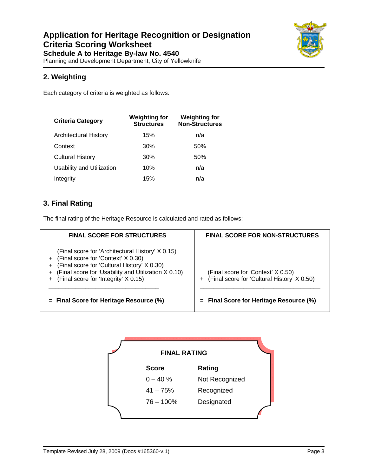

Planning and Development Department, City of Yellowknife

### **2. Weighting**

Each category of criteria is weighted as follows:

| <b>Criteria Category</b>         | <b>Weighting for</b><br><b>Structures</b> | <b>Weighting for</b><br><b>Non-Structures</b> |
|----------------------------------|-------------------------------------------|-----------------------------------------------|
| Architectural History            | 15%                                       | n/a                                           |
| Context                          | 30%                                       | 50%                                           |
| <b>Cultural History</b>          | 30%                                       | 50%                                           |
| <b>Usability and Utilization</b> | 10%                                       | n/a                                           |
| Integrity                        | 15%                                       | n/a                                           |

### **3. Final Rating**

The final rating of the Heritage Resource is calculated and rated as follows:

| <b>FINAL SCORE FOR STRUCTURES</b>                                                                                                                                                                                                          | <b>FINAL SCORE FOR NON-STRUCTURES</b>                                             |
|--------------------------------------------------------------------------------------------------------------------------------------------------------------------------------------------------------------------------------------------|-----------------------------------------------------------------------------------|
| (Final score for 'Architectural History' X 0.15)<br>+ (Final score for 'Context' X 0.30)<br>(Final score for 'Cultural History' X 0.30)<br>+ (Final score for 'Usability and Utilization X 0.10)<br>+ (Final score for 'Integrity' X 0.15) | (Final score for 'Context' X 0.50)<br>(Final score for 'Cultural History' X 0.50) |
| $=$ Final Score for Heritage Resource (%)                                                                                                                                                                                                  | $=$ Final Score for Heritage Resource (%)                                         |

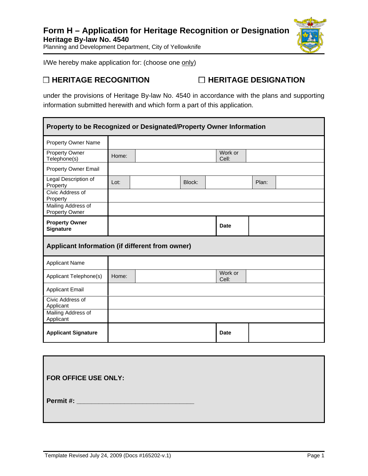

I/We hereby make application for: (choose one only)

□ HERITAGE RECOGNITION □ HERITAGE DESIGNATION

under the provisions of Heritage By-law No. 4540 in accordance with the plans and supporting information submitted herewith and which form a part of this application.

| Property to be Recognized or Designated/Property Owner Information |       |  |        |                  |       |  |
|--------------------------------------------------------------------|-------|--|--------|------------------|-------|--|
| <b>Property Owner Name</b>                                         |       |  |        |                  |       |  |
| <b>Property Owner</b><br>Telephone(s)                              | Home: |  |        | Work or<br>Cell: |       |  |
| Property Owner Email                                               |       |  |        |                  |       |  |
| Legal Description of<br>Property                                   | Lot:  |  | Block: |                  | Plan: |  |
| Civic Address of<br>Property                                       |       |  |        |                  |       |  |
| Mailing Address of<br>Property Owner                               |       |  |        |                  |       |  |
| <b>Property Owner</b><br><b>Signature</b>                          |       |  |        | <b>Date</b>      |       |  |
| Applicant Information (if different from owner)                    |       |  |        |                  |       |  |
| <b>Applicant Name</b>                                              |       |  |        |                  |       |  |
| Applicant Telephone(s)                                             | Home: |  |        | Work or<br>Cell: |       |  |
| <b>Applicant Email</b>                                             |       |  |        |                  |       |  |
| Civic Address of<br>Applicant                                      |       |  |        |                  |       |  |
| Mailing Address of<br>Applicant                                    |       |  |        |                  |       |  |
| <b>Applicant Signature</b>                                         |       |  |        | <b>Date</b>      |       |  |

| <b>FOR OFFICE USE ONLY:</b> |  |
|-----------------------------|--|
|                             |  |
| Permit#:                    |  |
|                             |  |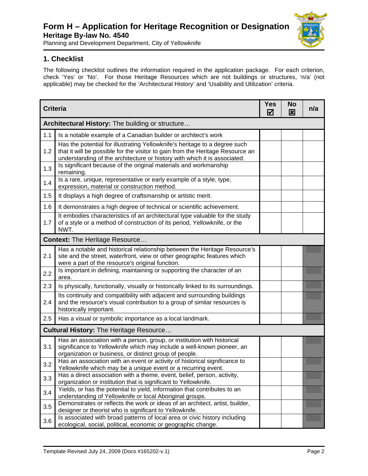## **Form H – Application for Heritage Recognition or Designation Heritage By-law No. 4540**



Planning and Development Department, City of Yellowknife

#### **1. Checklist**

The following checklist outlines the information required in the application package. For each criterion, check 'Yes' or 'No'. For those Heritage Resources which are not buildings or structures, 'n/a' (not applicable) may be checked for the 'Architectural History' and 'Usability and Utilization' criteria.

| <b>Criteria</b>                                  |                                                                                                                                                                                                                                           | <b>Yes</b><br>☑ | <b>No</b><br>図 | n/a |  |  |
|--------------------------------------------------|-------------------------------------------------------------------------------------------------------------------------------------------------------------------------------------------------------------------------------------------|-----------------|----------------|-----|--|--|
| Architectural History: The building or structure |                                                                                                                                                                                                                                           |                 |                |     |  |  |
| 1.1                                              | Is a notable example of a Canadian builder or architect's work                                                                                                                                                                            |                 |                |     |  |  |
| 1.2                                              | Has the potential for illustrating Yellowknife's heritage to a degree such<br>that it will be possible for the visitor to gain from the Heritage Resource an<br>understanding of the architecture or history with which it is associated. |                 |                |     |  |  |
| 1.3                                              | Is significant because of the original materials and workmanship<br>remaining.                                                                                                                                                            |                 |                |     |  |  |
| 1.4                                              | Is a rare, unique, representative or early example of a style, type,<br>expression, material or construction method.                                                                                                                      |                 |                |     |  |  |
| 1.5                                              | It displays a high degree of craftsmanship or artistic merit.                                                                                                                                                                             |                 |                |     |  |  |
| 1.6                                              | It demonstrates a high degree of technical or scientific achievement.                                                                                                                                                                     |                 |                |     |  |  |
| 1.7                                              | It embodies characteristics of an architectural type valuable for the study<br>of a style or a method of construction of its period, Yellowknife, or the<br>NWT.                                                                          |                 |                |     |  |  |
|                                                  | <b>Context: The Heritage Resource</b>                                                                                                                                                                                                     |                 |                |     |  |  |
| 2.1                                              | Has a notable and historical relationship between the Heritage Resource's<br>site and the street, waterfront, view or other geographic features which<br>were a part of the resource's original function.                                 |                 |                |     |  |  |
| 2.2                                              | Is important in defining, maintaining or supporting the character of an<br>area.                                                                                                                                                          |                 |                |     |  |  |
| 2.3                                              | Is physically, functionally, visually or historically linked to its surroundings.                                                                                                                                                         |                 |                |     |  |  |
| 2.4                                              | Its continuity and compatibility with adjacent and surrounding buildings<br>and the resource's visual contribution to a group of similar resources is<br>historically important.                                                          |                 |                |     |  |  |
| 2.5                                              | Has a visual or symbolic importance as a local landmark.                                                                                                                                                                                  |                 |                |     |  |  |
|                                                  | <b>Cultural History: The Heritage Resource</b>                                                                                                                                                                                            |                 |                |     |  |  |
| 3.1                                              | Has an association with a person, group, or institution with historical<br>significance to Yellowknife which may include a well-known pioneer, an<br>organization or business, or distinct group of people.                               |                 |                |     |  |  |
| 3.2                                              | Has an association with an event or activity of historical significance to<br>Yellowknife which may be a unique event or a recurring event.                                                                                               |                 |                |     |  |  |
| 3.3                                              | Has a direct association with a theme, event, belief, person, activity,<br>organization or institution that is significant to Yellowknife.                                                                                                |                 |                |     |  |  |
| 3.4                                              | Yields, or has the potential to yield, information that contributes to an<br>understanding of Yellowknife or local Aboriginal groups.                                                                                                     |                 |                |     |  |  |
| 3.5                                              | Demonstrates or reflects the work or ideas of an architect, artist, builder,<br>designer or theorist who is significant to Yellowknife.                                                                                                   |                 |                |     |  |  |
| 3.6                                              | Is associated with broad patterns of local area or civic history including<br>ecological, social, political, economic or geographic change.                                                                                               |                 |                |     |  |  |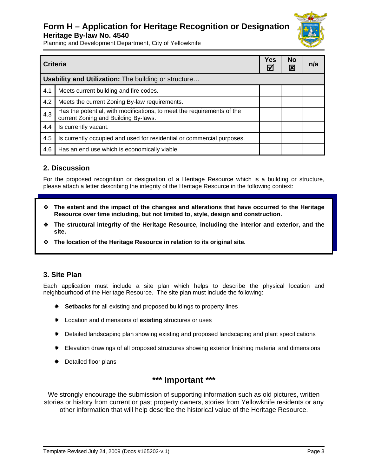### **Form H – Application for Heritage Recognition or Designation Heritage By-law No. 4540**



Planning and Development Department, City of Yellowknife

| <b>Criteria</b> |                                                                                                                | <b>Yes</b><br>W | <b>No</b><br>$\mathbf{x}$ | n/a |  |
|-----------------|----------------------------------------------------------------------------------------------------------------|-----------------|---------------------------|-----|--|
|                 | Usability and Utilization: The building or structure                                                           |                 |                           |     |  |
| 4.1             | Meets current building and fire codes.                                                                         |                 |                           |     |  |
| 4.2             | Meets the current Zoning By-law requirements.                                                                  |                 |                           |     |  |
| 4.3             | Has the potential, with modifications, to meet the requirements of the<br>current Zoning and Building By-laws. |                 |                           |     |  |
| 4.4             | Is currently vacant.                                                                                           |                 |                           |     |  |
| 4.5             | Is currently occupied and used for residential or commercial purposes.                                         |                 |                           |     |  |
| 4.6             | Has an end use which is economically viable.                                                                   |                 |                           |     |  |

#### **2. Discussion**

For the proposed recognition or designation of a Heritage Resource which is a building or structure, please attach a letter describing the integrity of the Heritage Resource in the following context:

- **The extent and the impact of the changes and alterations that have occurred to the Heritage Resource over time including, but not limited to, style, design and construction.**
- **The structural integrity of the Heritage Resource, including the interior and exterior, and the site.**
- **The location of the Heritage Resource in relation to its original site.**

#### **3. Site Plan**

Each application must include a site plan which helps to describe the physical location and neighbourhood of the Heritage Resource. The site plan must include the following:

- \* Setbacks for all existing and proposed buildings to property lines
- Location and dimensions of **existing** structures or uses
- \* Detailed landscaping plan showing existing and proposed landscaping and plant specifications
- Elevation drawings of all proposed structures showing exterior finishing material and dimensions
- $★$  Detailed floor plans

### **\*\*\* Important \*\*\***

We strongly encourage the submission of supporting information such as old pictures, written stories or history from current or past property owners, stories from Yellowknife residents or any other information that will help describe the historical value of the Heritage Resource.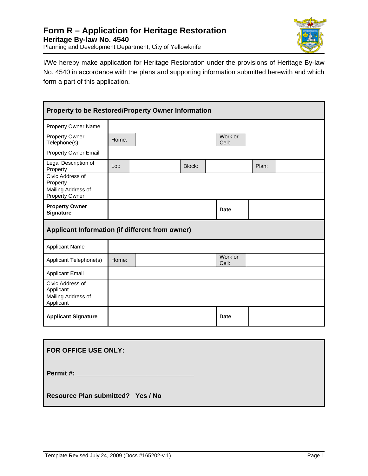

I/We hereby make application for Heritage Restoration under the provisions of Heritage By-law No. 4540 in accordance with the plans and supporting information submitted herewith and which form a part of this application.

| Property to be Restored/Property Owner Information |       |  |        |                  |       |  |
|----------------------------------------------------|-------|--|--------|------------------|-------|--|
| <b>Property Owner Name</b>                         |       |  |        |                  |       |  |
| <b>Property Owner</b><br>Telephone(s)              | Home: |  |        | Work or<br>Cell: |       |  |
| <b>Property Owner Email</b>                        |       |  |        |                  |       |  |
| Legal Description of<br>Property                   | Lot:  |  | Block: |                  | Plan: |  |
| Civic Address of<br>Property                       |       |  |        |                  |       |  |
| Mailing Address of<br>Property Owner               |       |  |        |                  |       |  |
| <b>Property Owner</b><br>Signature                 |       |  |        | <b>Date</b>      |       |  |
| Applicant Information (if different from owner)    |       |  |        |                  |       |  |
| <b>Applicant Name</b>                              |       |  |        |                  |       |  |
| Applicant Telephone(s)                             | Home: |  |        | Work or<br>Cell: |       |  |
| <b>Applicant Email</b>                             |       |  |        |                  |       |  |
| Civic Address of<br>Applicant                      |       |  |        |                  |       |  |
| Mailing Address of<br>Applicant                    |       |  |        |                  |       |  |
| <b>Applicant Signature</b>                         |       |  |        | <b>Date</b>      |       |  |

| FOR OFFICE USE ONLY:              |
|-----------------------------------|
| Permit #: ______________________  |
| Resource Plan submitted? Yes / No |